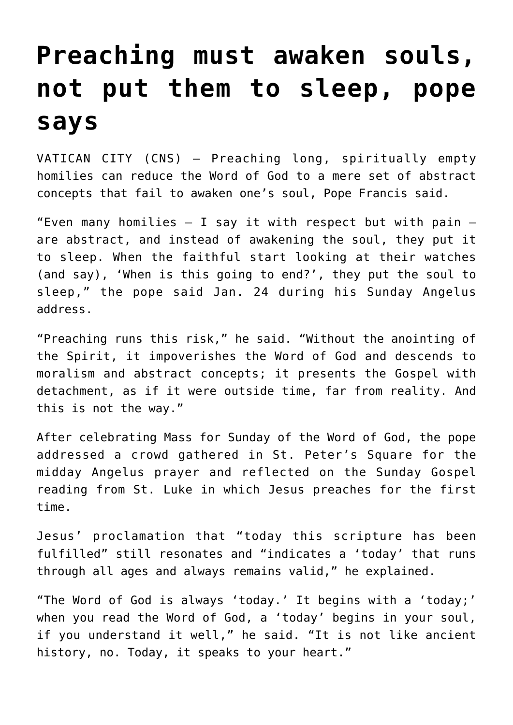## **[Preaching must awaken souls,](https://www.osvnews.com/2022/01/24/preaching-must-awaken-souls-not-put-them-to-sleep-pope-says/) [not put them to sleep, pope](https://www.osvnews.com/2022/01/24/preaching-must-awaken-souls-not-put-them-to-sleep-pope-says/) [says](https://www.osvnews.com/2022/01/24/preaching-must-awaken-souls-not-put-them-to-sleep-pope-says/)**

VATICAN CITY (CNS) — Preaching long, spiritually empty homilies can reduce the Word of God to a mere set of abstract concepts that fail to awaken one's soul, Pope Francis said.

"Even many homilies  $-$  I say it with respect but with pain  $$ are abstract, and instead of awakening the soul, they put it to sleep. When the faithful start looking at their watches (and say), 'When is this going to end?', they put the soul to sleep," the pope said Jan. 24 during his Sunday Angelus address.

"Preaching runs this risk," he said. "Without the anointing of the Spirit, it impoverishes the Word of God and descends to moralism and abstract concepts; it presents the Gospel with detachment, as if it were outside time, far from reality. And this is not the way."

After celebrating Mass for Sunday of the Word of God, the pope addressed a crowd gathered in St. Peter's Square for the midday Angelus prayer and reflected on the Sunday Gospel reading from St. Luke in which Jesus preaches for the first time.

Jesus' proclamation that "today this scripture has been fulfilled" still resonates and "indicates a 'today' that runs through all ages and always remains valid," he explained.

"The Word of God is always 'today.' It begins with a 'today;' when you read the Word of God, a 'today' begins in your soul, if you understand it well," he said. "It is not like ancient history, no. Today, it speaks to your heart."